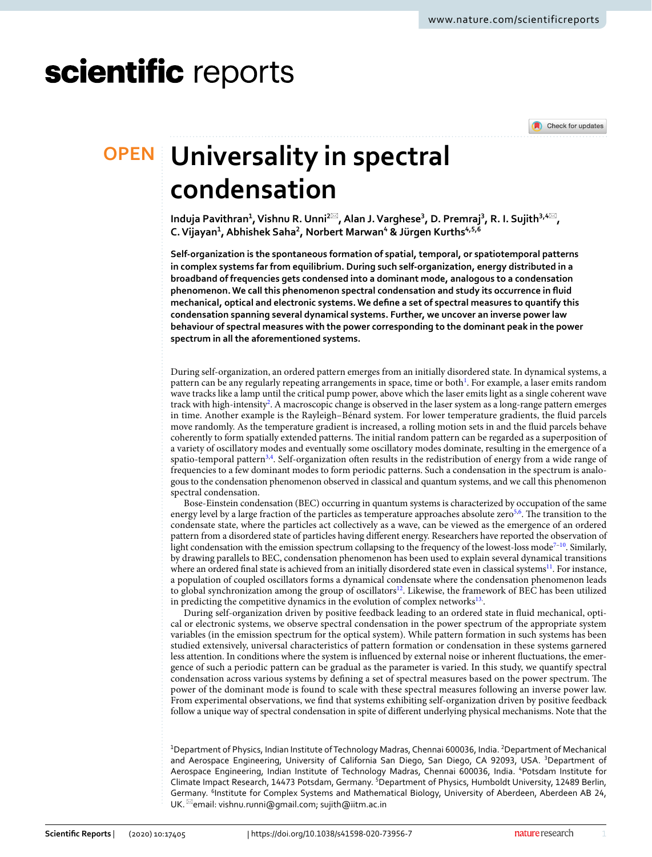# scientific reports

Check for updates

## **Universality in spectral OPEN condensation**

**Induja Pavithran<sup>1</sup> , Vishnu R. Unni<sup>2</sup>**\***, Alan J. Varghese<sup>3</sup> , D. Premraj<sup>3</sup> , R. I. Sujith3,4**\***, C. Vijayan<sup>1</sup> , Abhishek Saha<sup>2</sup> , Norbert Marwan<sup>4</sup> & Jürgen Kurths4,5,6**

**Self-organization is the spontaneous formation of spatial, temporal, or spatiotemporal patterns in complex systems far from equilibrium. During such self-organization, energy distributed in a broadband of frequencies gets condensed into a dominant mode, analogous to a condensation phenomenon. We call this phenomenon spectral condensation and study its occurrence in fluid mechanical, optical and electronic systems. We define a set of spectral measures to quantify this condensation spanning several dynamical systems. Further, we uncover an inverse power law behaviour of spectral measures with the power corresponding to the dominant peak in the power spectrum in all the aforementioned systems.**

During self-organization, an ordered pattern emerges from an initially disordered state. In dynamical systems, a pattern can be any regularly repeating arrangements in space, time or both<sup>[1](#page-6-0)</sup>. For example, a laser emits random wave tracks like a lamp until the critical pump power, above which the laser emits light as a single coherent wave track with high-intensity<sup>[2](#page-6-1)</sup>. A macroscopic change is observed in the laser system as a long-range pattern emerges in time. Another example is the Rayleigh–Bénard system. For lower temperature gradients, the fluid parcels move randomly. As the temperature gradient is increased, a rolling motion sets in and the fluid parcels behave coherently to form spatially extended patterns. The initial random pattern can be regarded as a superposition of a variety of oscillatory modes and eventually some oscillatory modes dominate, resulting in the emergence of a spatio-temporal pattern<sup>[3](#page-6-2),[4](#page-6-3)</sup>. Self-organization often results in the redistribution of energy from a wide range of frequencies to a few dominant modes to form periodic patterns. Such a condensation in the spectrum is analogous to the condensation phenomenon observed in classical and quantum systems, and we call this phenomenon spectral condensation.

Bose-Einstein condensation (BEC) occurring in quantum systems is characterized by occupation of the same energy level by a large fraction of the particles as temperature approaches absolute zero<sup>[5](#page-6-4),[6](#page-6-5)</sup>. The transition to the condensate state, where the particles act collectively as a wave, can be viewed as the emergence of an ordered pattern from a disordered state of particles having different energy. Researchers have reported the observation of light condensation with the emission spectrum collapsing to the frequency of the lowest-loss mode<sup>[7](#page-6-6)-10</sup>. Similarly, by drawing parallels to BEC, condensation phenomenon has been used to explain several dynamical transitions where an ordered final state is achieved from an initially disordered state even in classical systems<sup>[11](#page-6-8)</sup>. For instance, a population of coupled oscillators forms a dynamical condensate where the condensation phenomenon leads to global synchronization among the group of oscillators<sup>[12](#page-6-9)</sup>. Likewise, the framework of BEC has been utilized in predicting the competitive dynamics in the evolution of complex networks<sup>[13](#page-6-10)</sup>.

During self-organization driven by positive feedback leading to an ordered state in fluid mechanical, optical or electronic systems, we observe spectral condensation in the power spectrum of the appropriate system variables (in the emission spectrum for the optical system). While pattern formation in such systems has been studied extensively, universal characteristics of pattern formation or condensation in these systems garnered less attention. In conditions where the system is influenced by external noise or inherent fluctuations, the emergence of such a periodic pattern can be gradual as the parameter is varied. In this study, we quantify spectral condensation across various systems by defining a set of spectral measures based on the power spectrum. The power of the dominant mode is found to scale with these spectral measures following an inverse power law. From experimental observations, we find that systems exhibiting self-organization driven by positive feedback follow a unique way of spectral condensation in spite of different underlying physical mechanisms. Note that the

<sup>1</sup>Department of Physics, Indian Institute of Technology Madras, Chennai 600036, India. <sup>2</sup>Department of Mechanical and Aerospace Engineering, University of California San Diego, San Diego, CA 92093, USA. <sup>3</sup>Department of Aerospace Engineering, Indian Institute of Technology Madras, Chennai 600036, India. <sup>4</sup>Potsdam Institute for Climate Impact Research, 14473 Potsdam, Germany. <sup>5</sup>Department of Physics, Humboldt University, 12489 Berlin, Germany. <sup>6</sup>Institute for Complex Systems and Mathematical Biology, University of Aberdeen, Aberdeen AB 24, UK. <sup> $\boxtimes$ </sup>email: vishnu.runni@gmail.com; sujith@iitm.ac.in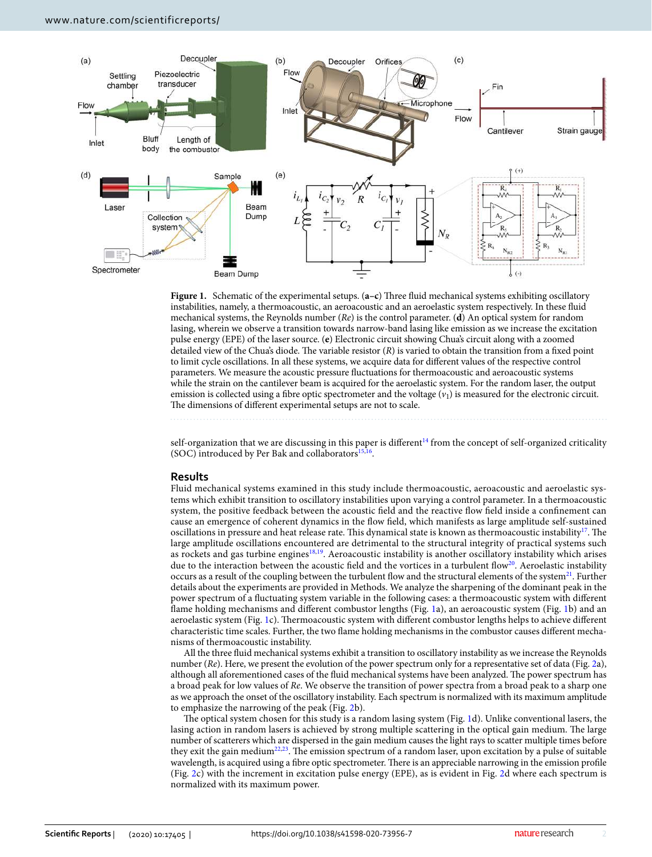

<span id="page-1-0"></span>**Figure 1.** Schematic of the experimental setups. (**a–c**) Three fluid mechanical systems exhibiting oscillatory instabilities, namely, a thermoacoustic, an aeroacoustic and an aeroelastic system respectively. In these fluid mechanical systems, the Reynolds number (Re) is the control parameter. (**d**) An optical system for random lasing, wherein we observe a transition towards narrow-band lasing like emission as we increase the excitation pulse energy (EPE) of the laser source. (**e**) Electronic circuit showing Chua's circuit along with a zoomed detailed view of the Chua's diode. The variable resistor  $(R)$  is varied to obtain the transition from a fixed point to limit cycle oscillations. In all these systems, we acquire data for different values of the respective control parameters. We measure the acoustic pressure fluctuations for thermoacoustic and aeroacoustic systems while the strain on the cantilever beam is acquired for the aeroelastic system. For the random laser, the output emission is collected using a fibre optic spectrometer and the voltage  $(v_1)$  is measured for the electronic circuit. The dimensions of different experimental setups are not to scale.

self-organization that we are discussing in this paper is different<sup>[14](#page-6-11)</sup> from the concept of self-organized criticality (SOC) introduced by Per Bak and collaborators<sup>[15,](#page-7-0)[16](#page-7-1)</sup>.

#### **Results**

Fluid mechanical systems examined in this study include thermoacoustic, aeroacoustic and aeroelastic systems which exhibit transition to oscillatory instabilities upon varying a control parameter. In a thermoacoustic system, the positive feedback between the acoustic field and the reactive flow field inside a confinement can cause an emergence of coherent dynamics in the flow field, which manifests as large amplitude self-sustained oscillations in pressure and heat release rate. This dynamical state is known as thermoacoustic instability<sup>[17](#page-7-2)</sup>. The large amplitude oscillations encountered are detrimental to the structural integrity of practical systems such as rockets and gas turbine engines<sup>[18](#page-7-3),[19](#page-7-4)</sup>. Aeroacoustic instability is another oscillatory instability which arises due to the interaction between the acoustic field and the vortices in a turbulent flow<sup>[20](#page-7-5)</sup>. Aeroelastic instability occurs as a result of the coupling between the turbulent flow and the structural elements of the system $^{21}$  $^{21}$  $^{21}$ . Further details about the experiments are provided in Methods. We analyze the sharpening of the dominant peak in the power spectrum of a fluctuating system variable in the following cases: a thermoacoustic system with different flame holding mechanisms and different combustor lengths (Fig. [1](#page-1-0)a), an aeroacoustic system (Fig. [1](#page-1-0)b) and an aeroelastic system (Fig. [1](#page-1-0)c). Thermoacoustic system with different combustor lengths helps to achieve different characteristic time scales. Further, the two flame holding mechanisms in the combustor causes different mechanisms of thermoacoustic instability.

All the three fluid mechanical systems exhibit a transition to oscillatory instability as we increase the Reynolds number (Re). Here, we present the evolution of the power spectrum only for a representative set of data (Fig. [2](#page-2-0)a), although all aforementioned cases of the fluid mechanical systems have been analyzed. The power spectrum has a broad peak for low values of Re. We observe the transition of power spectra from a broad peak to a sharp one as we approach the onset of the oscillatory instability. Each spectrum is normalized with its maximum amplitude to emphasize the narrowing of the peak (Fig. [2b](#page-2-0)).

The optical system chosen for this study is a random lasing system (Fig. [1](#page-1-0)d). Unlike conventional lasers, the lasing action in random lasers is achieved by strong multiple scattering in the optical gain medium. The large number of scatterers which are dispersed in the gain medium causes the light rays to scatter multiple times before they exit the gain medium<sup>[22](#page-7-7),[23](#page-7-8)</sup>. The emission spectrum of a random laser, upon excitation by a pulse of suitable wavelength, is acquired using a fibre optic spectrometer. There is an appreciable narrowing in the emission profile (Fig. [2](#page-2-0)c) with the increment in excitation pulse energy (EPE), as is evident in Fig. [2d](#page-2-0) where each spectrum is normalized with its maximum power.

2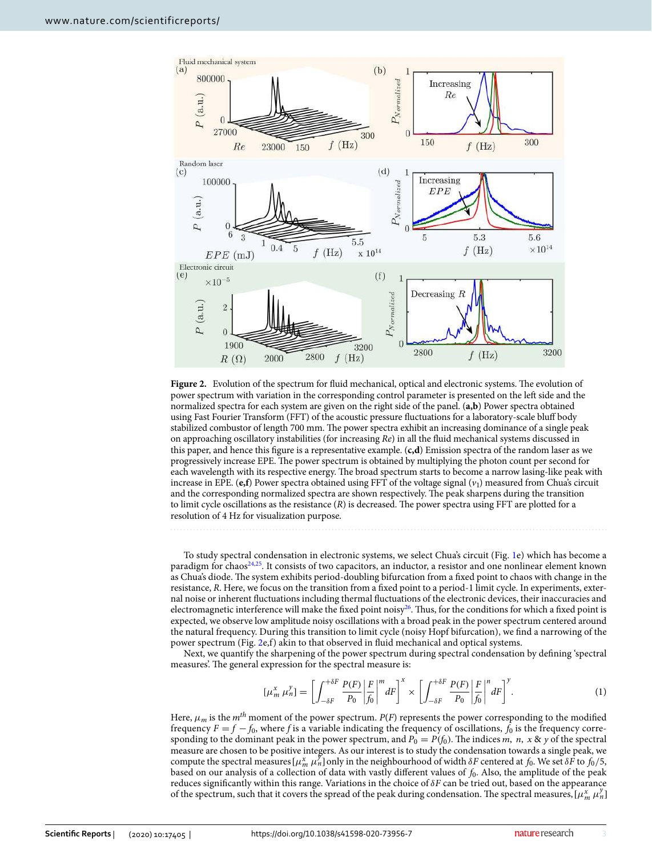

<span id="page-2-0"></span>**Figure 2.** Evolution of the spectrum for fluid mechanical, optical and electronic systems. The evolution of power spectrum with variation in the corresponding control parameter is presented on the left side and the normalized spectra for each system are given on the right side of the panel. (**a,b**) Power spectra obtained using Fast Fourier Transform (FFT) of the acoustic pressure fluctuations for a laboratory-scale bluff body stabilized combustor of length 700 mm. The power spectra exhibit an increasing dominance of a single peak on approaching oscillatory instabilities (for increasing  $Re$ ) in all the fluid mechanical systems discussed in this paper, and hence this figure is a representative example. (**c,d**) Emission spectra of the random laser as we progressively increase EPE. The power spectrum is obtained by multiplying the photon count per second for each wavelength with its respective energy. The broad spectrum starts to become a narrow lasing-like peak with increase in EPE. ( $e, f$ ) Power spectra obtained using FFT of the voltage signal ( $v_1$ ) measured from Chua's circuit and the corresponding normalized spectra are shown respectively. The peak sharpens during the transition to limit cycle oscillations as the resistance  $(R)$  is decreased. The power spectra using FFT are plotted for a resolution of 4 Hz for visualization purpose.

To study spectral condensation in electronic systems, we select Chua's circuit (Fig. [1e](#page-1-0)) which has become a paradigm for chaos[24](#page-7-9)[,25](#page-7-10). It consists of two capacitors, an inductor, a resistor and one nonlinear element known as Chua's diode. The system exhibits period-doubling bifurcation from a fixed point to chaos with change in the resistance, R. Here, we focus on the transition from a fixed point to a period-1 limit cycle. In experiments, external noise or inherent fluctuations including thermal fluctuations of the electronic devices, their inaccuracies and electromagnetic interference will make the fixed point noisy<sup>[26](#page-7-11)</sup>. Thus, for the conditions for which a fixed point is expected, we observe low amplitude noisy oscillations with a broad peak in the power spectrum centered around the natural frequency. During this transition to limit cycle (noisy Hopf bifurcation), we find a narrowing of the power spectrum (Fig. [2](#page-2-0)e,f) akin to that observed in fluid mechanical and optical systems.

Next, we quantify the sharpening of the power spectrum during spectral condensation by defining 'spectral measures'. The general expression for the spectral measure is:

$$
\left[\mu_m^x \mu_n^y\right] = \left[\int_{-\delta F}^{+\delta F} \frac{P(F)}{P_0} \left|\frac{F}{f_0}\right|^m dF\right]^x \times \left[\int_{-\delta F}^{+\delta F} \frac{P(F)}{P_0} \left|\frac{F}{f_0}\right|^n dF\right]^y. \tag{1}
$$

Here,  $\mu_m$  is the  $m^{th}$  moment of the power spectrum.  $P(F)$  represents the power corresponding to the modified frequency  $F = f - f_0$ , where f is a variable indicating the frequency of oscillations,  $f_0$  is the frequency corresponding to the dominant peak in the power spectrum, and  $P_0 = P(f_0)$ . The indices m, n, x & y of the spectral measure are chosen to be positive integers. As our interest is to study the condensation towards a single peak, we compute the spectral measures  $[\mu_m^x \mu_n^y]$  only in the neighbourhood of width  $\delta F$  centered at  $f_0$ . We set  $\delta F$  to  $f_0/5$ , based on our analysis of a collection of data with vastly different values of  $f_0$ . Also, the amplitude of the peak reduces significantly within this range. Variations in the choice of  $\delta F$  can be tried out, based on the appearance of the spectrum, such that it covers the spread of the peak during condensation. The spectral measures,  $[\mu_m^x \mu_n^y]$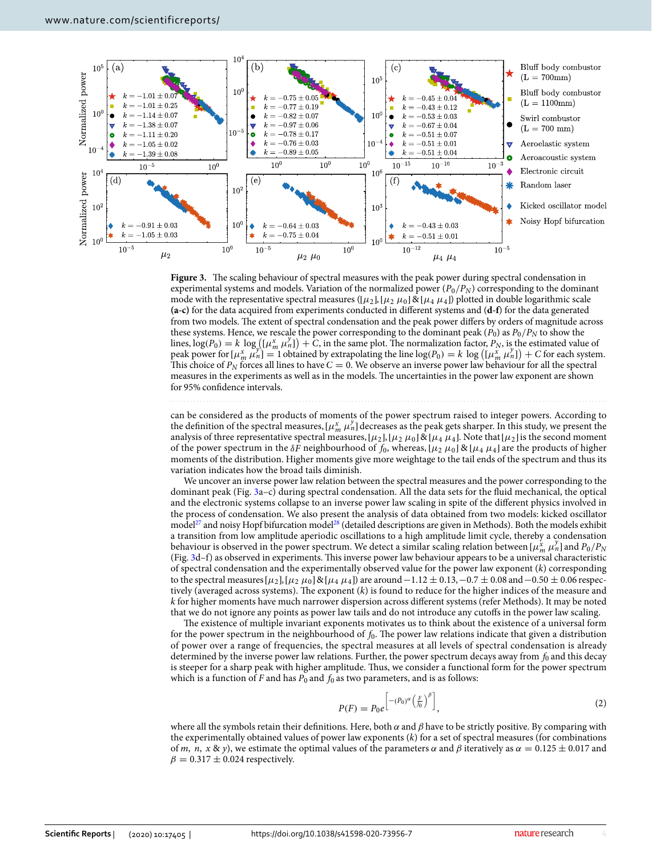

<span id="page-3-0"></span>**Figure 3.** The scaling behaviour of spectral measures with the peak power during spectral condensation in experimental systems and models. Variation of the normalized power  $(P_0/P_N)$  corresponding to the dominant mode with the representative spectral measures ( $[\mu_2]$ ,  $[\mu_2 \mu_0]$  &  $[\mu_4 \mu_4]$ ) plotted in double logarithmic scale **(a-c)** for the data acquired from experiments conducted in different systems and (**d-f**) for the data generated from two models. The extent of spectral condensation and the peak power differs by orders of magnitude across these systems. Hence, we rescale the power corresponding to the dominant peak ( $P_0$ ) as  $P_0/P_N$  to show the lines,  $\log(P_0) = k \log((\mu_m^x \mu_n^y)) + C$ , in the same plot. The normalization factor,  $P_N$ , is the estimated value of peak power for  $[\mu_{m}^{x} \mu_{n}^{y}] = 1$  obtained by extrapolating the line log(P<sub>0</sub>) = k log ( $[\mu_{m}^{x} \mu_{n}^{y}]$ ) + C for each system. This choice of  $P_N$  forces all lines to have  $C = 0$ . We observe an inverse power law behaviour for all the spectral measures in the experiments as well as in the models. The uncertainties in the power law exponent are shown for 95% confidence intervals.

can be considered as the products of moments of the power spectrum raised to integer powers. According to the definition of the spectral measures,  $[\mu_m^x \mu_n^y]$  decreases as the peak gets sharper. In this study, we present the analysis of three representative spectral measures,  $[\mu_2]$ ,  $[\mu_2 \mu_0]$  &  $[\mu_4 \mu_4]$ . Note that  $[\mu_2]$  is the second moment of the power spectrum in the  $\delta F$  neighbourhood of  $f_0$ , whereas,  $[\mu_2 \mu_0] \& [\mu_4 \mu_4]$  are the products of higher moments of the distribution. Higher moments give more weightage to the tail ends of the spectrum and thus its variation indicates how the broad tails diminish.

We uncover an inverse power law relation between the spectral measures and the power corresponding to the dominant peak (Fig. [3](#page-3-0)a–c) during spectral condensation. All the data sets for the fluid mechanical, the optical and the electronic systems collapse to an inverse power law scaling in spite of the different physics involved in the process of condensation. We also present the analysis of data obtained from two models: kicked oscillator model<sup>[27](#page-7-12)</sup> and noisy Hopf bifurcation model<sup>[28](#page-7-13)</sup> (detailed descriptions are given in Methods). Both the models exhibit a transition from low amplitude aperiodic oscillations to a high amplitude limit cycle, thereby a condensation behaviour is observed in the power spectrum. We detect a similar scaling relation between  $[\mu_m^x \mu_n^y]$  and  $P_0/P_N$ (Fig. [3d](#page-3-0)–f) as observed in experiments. This inverse power law behaviour appears to be a universal characteristic of spectral condensation and the experimentally observed value for the power law exponent  $(k)$  corresponding to the spectral measures [μ<sub>2</sub>], [μ<sub>2</sub> μ<sub>0</sub>] & [μ<sub>4</sub> μ<sub>4</sub>]) are around −1.12 ± 0.13, −0.7 ± 0.08 and −0.50 ± 0.06 respectively (averaged across systems). The exponent (k) is found to reduce for the higher indices of the measure and k for higher moments have much narrower dispersion across different systems (refer Methods). It may be noted that we do not ignore any points as power law tails and do not introduce any cutoffs in the power law scaling.

The existence of multiple invariant exponents motivates us to think about the existence of a universal form for the power spectrum in the neighbourhood of  $f_0$ . The power law relations indicate that given a distribution of power over a range of frequencies, the spectral measures at all levels of spectral condensation is already determined by the inverse power law relations. Further, the power spectrum decays away from  $f_0$  and this decay is steeper for a sharp peak with higher amplitude. Thus, we consider a functional form for the power spectrum which is a function of F and has  $P_0$  and  $f_0$  as two parameters, and is as follows:

<span id="page-3-1"></span>
$$
P(F) = P_0 e^{\left[ -(P_0)^{\alpha} \left(\frac{F}{f_0}\right)^{\beta} \right]},
$$
\n(2)

where all the symbols retain their definitions. Here, both  $\alpha$  and  $\beta$  have to be strictly positive. By comparing with the experimentally obtained values of power law exponents  $(k)$  for a set of spectral measures (for combinations of m, n, x & y), we estimate the optimal values of the parameters  $\alpha$  and  $\beta$  iteratively as  $\alpha = 0.125 \pm 0.017$  and  $\beta = 0.317 \pm 0.024$  respectively.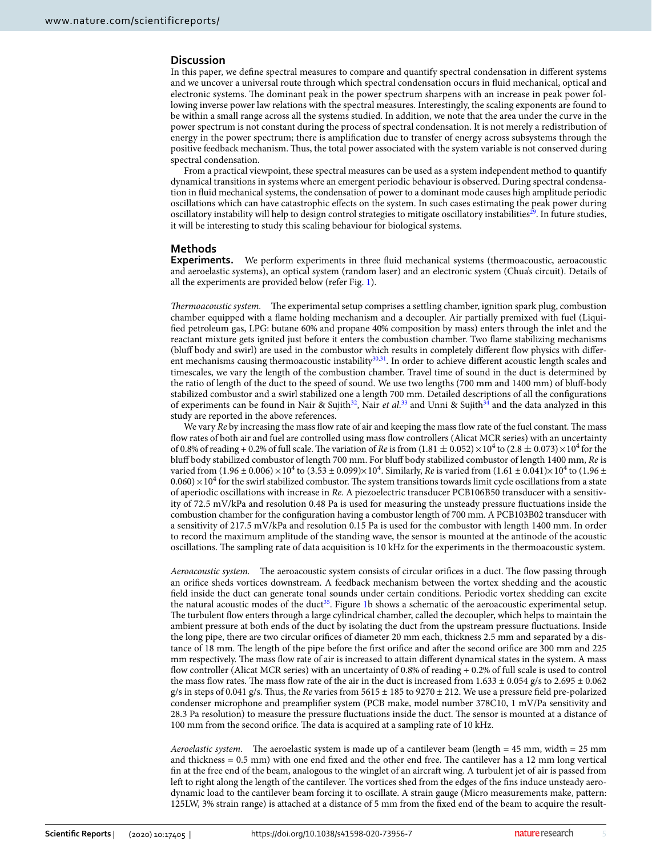#### **Discussion**

In this paper, we define spectral measures to compare and quantify spectral condensation in different systems and we uncover a universal route through which spectral condensation occurs in fluid mechanical, optical and electronic systems. The dominant peak in the power spectrum sharpens with an increase in peak power following inverse power law relations with the spectral measures. Interestingly, the scaling exponents are found to be within a small range across all the systems studied. In addition, we note that the area under the curve in the power spectrum is not constant during the process of spectral condensation. It is not merely a redistribution of energy in the power spectrum; there is amplification due to transfer of energy across subsystems through the positive feedback mechanism. Thus, the total power associated with the system variable is not conserved during spectral condensation.

From a practical viewpoint, these spectral measures can be used as a system independent method to quantify dynamical transitions in systems where an emergent periodic behaviour is observed. During spectral condensation in fluid mechanical systems, the condensation of power to a dominant mode causes high amplitude periodic oscillations which can have catastrophic effects on the system. In such cases estimating the peak power during oscillatory instability will help to design control strategies to mitigate oscillatory instabilities<sup>[29](#page-7-14)</sup>. In future studies, it will be interesting to study this scaling behaviour for biological systems.

### **Methods**

**Experiments.** We perform experiments in three fluid mechanical systems (thermoacoustic, aeroacoustic and aeroelastic systems), an optical system (random laser) and an electronic system (Chua's circuit). Details of all the experiments are provided below (refer Fig. [1\)](#page-1-0).

Thermoacoustic system. The experimental setup comprises a settling chamber, ignition spark plug, combustion chamber equipped with a flame holding mechanism and a decoupler. Air partially premixed with fuel (Liquified petroleum gas, LPG: butane 60% and propane 40% composition by mass) enters through the inlet and the reactant mixture gets ignited just before it enters the combustion chamber. Two flame stabilizing mechanisms (bluff body and swirl) are used in the combustor which results in completely different flow physics with differ-ent mechanisms causing thermoacoustic instability<sup>[30](#page-7-15)[,31](#page-7-16)</sup>. In order to achieve different acoustic length scales and timescales, we vary the length of the combustion chamber. Travel time of sound in the duct is determined by the ratio of length of the duct to the speed of sound. We use two lengths (700 mm and 1400 mm) of bluff-body stabilized combustor and a swirl stabilized one a length 700 mm. Detailed descriptions of all the configurations of experiments can be found in Nair & Sujith<sup>[32](#page-7-17)</sup>, Nair *et al.*<sup>[33](#page-7-18)</sup> and Unni & Sujith<sup>[34](#page-7-19)</sup> and the data analyzed in this study are reported in the above references.

We vary Re by increasing the mass flow rate of air and keeping the mass flow rate of the fuel constant. The mass flow rates of both air and fuel are controlled using mass flow controllers (Alicat MCR series) with an uncertainty of 0.8% of reading + 0.2% of full scale. The variation of Re is from  $(1.81 \pm 0.052) \times 10^4$  to  $(2.8 \pm 0.073) \times 10^4$  for the bluff body stabilized combustor of length 700 mm. For bluff body stabilized combustor of length 1400 mm, Re is varied from  $(1.96 \pm 0.006) \times 10^4$  to  $(3.53 \pm 0.099) \times 10^4$ . Similarly, Re is varied from  $(1.61 \pm 0.041) \times 10^4$  to  $(1.96 \pm 0.061)$  $(0.060) \times 10^4$  for the swirl stabilized combustor. The system transitions towards limit cycle oscillations from a state of aperiodic oscillations with increase in Re. A piezoelectric transducer PCB106B50 transducer with a sensitivity of 72.5 mV/kPa and resolution 0.48 Pa is used for measuring the unsteady pressure fluctuations inside the combustion chamber for the configuration having a combustor length of 700 mm. A PCB103B02 transducer with a sensitivity of 217.5 mV/kPa and resolution 0.15 Pa is used for the combustor with length 1400 mm. In order to record the maximum amplitude of the standing wave, the sensor is mounted at the antinode of the acoustic oscillations. The sampling rate of data acquisition is 10 kHz for the experiments in the thermoacoustic system.

Aeroacoustic system. The aeroacoustic system consists of circular orifices in a duct. The flow passing through an orifice sheds vortices downstream. A feedback mechanism between the vortex shedding and the acoustic field inside the duct can generate tonal sounds under certain conditions. Periodic vortex shedding can excite the natural acoustic modes of the duct<sup>[35](#page-7-20)</sup>. Figure [1b](#page-1-0) shows a schematic of the aeroacoustic experimental setup. The turbulent flow enters through a large cylindrical chamber, called the decoupler, which helps to maintain the ambient pressure at both ends of the duct by isolating the duct from the upstream pressure fluctuations. Inside the long pipe, there are two circular orifices of diameter 20 mm each, thickness 2.5 mm and separated by a distance of 18 mm. The length of the pipe before the first orifice and after the second orifice are 300 mm and 225 mm respectively. The mass flow rate of air is increased to attain different dynamical states in the system. A mass flow controller (Alicat MCR series) with an uncertainty of 0.8% of reading + 0.2% of full scale is used to control the mass flow rates. The mass flow rate of the air in the duct is increased from  $1.633 \pm 0.054$  g/s to  $2.695 \pm 0.062$ g/s in steps of 0.041 g/s. Thus, the Re varies from  $5615 \pm 185$  to  $9270 \pm 212$ . We use a pressure field pre-polarized condenser microphone and preamplifier system (PCB make, model number 378C10, 1 mV/Pa sensitivity and 28.3 Pa resolution) to measure the pressure fluctuations inside the duct. The sensor is mounted at a distance of 100 mm from the second orifice. The data is acquired at a sampling rate of 10 kHz.

Aeroelastic system. The aeroelastic system is made up of a cantilever beam (length = 45 mm, width = 25 mm and thickness = 0.5 mm) with one end fixed and the other end free. The cantilever has a 12 mm long vertical fin at the free end of the beam, analogous to the winglet of an aircraft wing. A turbulent jet of air is passed from left to right along the length of the cantilever. The vortices shed from the edges of the fins induce unsteady aerodynamic load to the cantilever beam forcing it to oscillate. A strain gauge (Micro measurements make, pattern: 125LW, 3 % strain range) is attached at a distance of 5 mm from the fixed end of the beam to acquire the result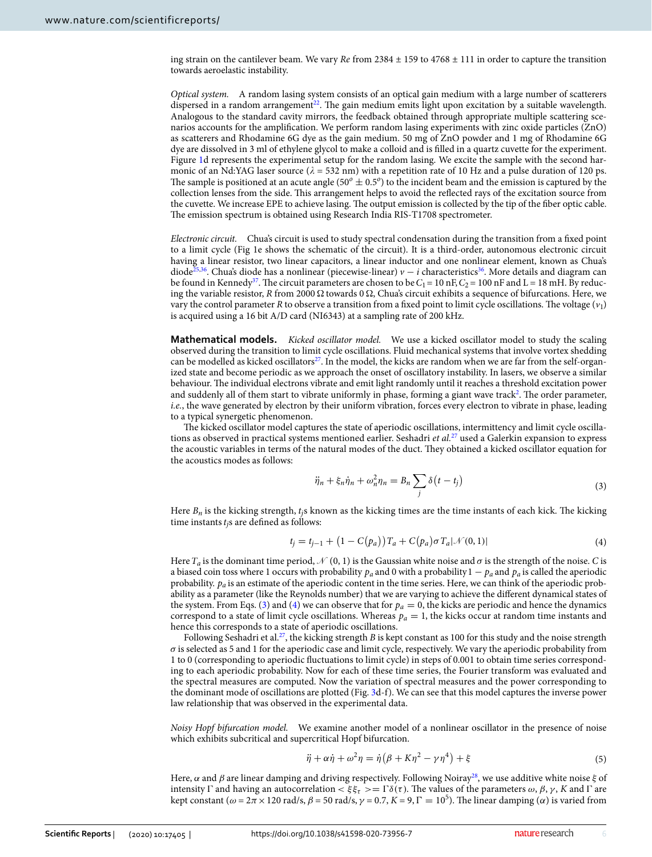ing strain on the cantilever beam. We vary  $Re$  from 2384  $\pm$  159 to 4768  $\pm$  111 in order to capture the transition towards aeroelastic instability.

Optical system. A random lasing system consists of an optical gain medium with a large number of scatterers dispersed in a random arrangement<sup>[22](#page-7-7)</sup>. The gain medium emits light upon excitation by a suitable wavelength. Analogous to the standard cavity mirrors, the feedback obtained through appropriate multiple scattering scenarios accounts for the amplification. We perform random lasing experiments with zinc oxide particles (ZnO) as scatterers and Rhodamine 6G dye as the gain medium. 50 mg of ZnO powder and 1 mg of Rhodamine 6G dye are dissolved in 3 ml of ethylene glycol to make a colloid and is filled in a quartz cuvette for the experiment. Figure [1d](#page-1-0) represents the experimental setup for the random lasing. We excite the sample with the second harmonic of an Nd:YAG laser source ( $\lambda = 532$  nm) with a repetition rate of 10 Hz and a pulse duration of 120 ps. The sample is positioned at an acute angle (50 $^{\circ}$   $\pm$  0.5 $^{\circ}$ ) to the incident beam and the emission is captured by the collection lenses from the side. This arrangement helps to avoid the reflected rays of the excitation source from the cuvette. We increase EPE to achieve lasing. The output emission is collected by the tip of the fiber optic cable. The emission spectrum is obtained using Research India RIS-T1708 spectrometer.

Electronic circuit. Chua's circuit is used to study spectral condensation during the transition from a fixed point to a limit cycle (Fig 1e shows the schematic of the circuit). It is a third-order, autonomous electronic circuit having a linear resistor, two linear capacitors, a linear inductor and one nonlinear element, known as Chua's diode<sup>[25](#page-7-10)[,36](#page-7-21)</sup>. Chua's diode has a nonlinear (piecewise-linear)  $v - i$  characteristics<sup>[36](#page-7-21)</sup>. More details and diagram can be found in Kennedy<sup>[37](#page-7-22)</sup>. The circuit parameters are chosen to be  $C_1 = 10$  nF,  $C_2 = 100$  nF and L = 18 mH. By reducing the variable resistor, R from 2000  $\Omega$  towards 0  $\Omega$ , Chua's circuit exhibits a sequence of bifurcations. Here, we vary the control parameter R to observe a transition from a fixed point to limit cycle oscillations. The voltage  $(v_1)$ is acquired using a 16 bit A/D card (NI6343) at a sampling rate of 200 kHz.

**Mathematical models.** Kicked oscillator model. We use a kicked oscillator model to study the scaling observed during the transition to limit cycle oscillations. Fluid mechanical systems that involve vortex shedding can be modelled as kicked oscillators<sup>[27](#page-7-12)</sup>. In the model, the kicks are random when we are far from the self-organized state and become periodic as we approach the onset of oscillatory instability. In lasers, we observe a similar behaviour. The individual electrons vibrate and emit light randomly until it reaches a threshold excitation power and suddenly all of them start to vibrate uniformly in phase, forming a giant wave track<sup>[2](#page-6-1)</sup>. The order parameter, i.e., the wave generated by electron by their uniform vibration, forces every electron to vibrate in phase, leading to a typical synergetic phenomenon.

The kicked oscillator model captures the state of aperiodic oscillations, intermittency and limit cycle oscilla-tions as observed in practical systems mentioned earlier. Seshadri et al.<sup>[27](#page-7-12)</sup> used a Galerkin expansion to express the acoustic variables in terms of the natural modes of the duct. They obtained a kicked oscillator equation for the acoustics modes as follows:

<span id="page-5-1"></span><span id="page-5-0"></span>
$$
\ddot{\eta}_n + \xi_n \dot{\eta}_n + \omega_n^2 \eta_n = B_n \sum_j \delta(t - t_j)
$$
\n(3)

Here  $B_n$  is the kicking strength,  $t_j$ s known as the kicking times are the time instants of each kick. The kicking time instants  $t_j$ s are defined as follows:

$$
t_j = t_{j-1} + (1 - C(p_a))T_a + C(p_a)\sigma T_a|\mathcal{N}(0,1)|
$$
\n(4)

Here  $T_a$  is the dominant time period,  $\mathcal N(0, 1)$  is the Gaussian white noise and  $\sigma$  is the strength of the noise. C is a biased coin toss where 1 occurs with probability  $p_a$  and 0 with a probability  $1 - p_a$  and  $p_a$  is called the aperiodic probability.  $p_a$  is an estimate of the aperiodic content in the time series. Here, we can think of the aperiodic probability as a parameter (like the Reynolds number) that we are varying to achieve the different dynamical states of the system. From Eqs. [\(3\)](#page-5-0) and [\(4](#page-5-1)) we can observe that for  $p_a = 0$ , the kicks are periodic and hence the dynamics correspond to a state of limit cycle oscillations. Whereas  $p_a = 1$ , the kicks occur at random time instants and hence this corresponds to a state of aperiodic oscillations.

Following Seshadri et al.<sup>[27](#page-7-12)</sup>, the kicking strength B is kept constant as 100 for this study and the noise strength  $\sigma$  is selected as 5 and 1 for the aperiodic case and limit cycle, respectively. We vary the aperiodic probability from 1 to 0 (corresponding to aperiodic fluctuations to limit cycle) in steps of 0.001 to obtain time series corresponding to each aperiodic probability. Now for each of these time series, the Fourier transform was evaluated and the spectral measures are computed. Now the variation of spectral measures and the power corresponding to the dominant mode of oscillations are plotted (Fig. [3](#page-3-0)d-f). We can see that this model captures the inverse power law relationship that was observed in the experimental data.

Noisy Hopf bifurcation model. We examine another model of a nonlinear oscillator in the presence of noise which exhibits subcritical and supercritical Hopf bifurcation.

$$
\ddot{\eta} + \alpha \dot{\eta} + \omega^2 \eta = \dot{\eta} \left( \beta + K \eta^2 - \gamma \eta^4 \right) + \xi \tag{5}
$$

Here,  $\alpha$  and  $\beta$  are linear damping and driving respectively. Following Noiray<sup>[28](#page-7-13)</sup>, we use additive white noise  $\xi$  of intensity Γ and having an autocorrelation  $\lt \xi \xi_\tau \gt = \Gamma \delta(\tau)$ . The values of the parameters ω, β, γ, K and Γ are hept constant ( $\omega = 2\pi \times 120$  rad/s,  $\beta = 50$  rad/s,  $\gamma = 0.7$ ,  $K = 9$ ,  $\Gamma = 10^5$ ). The linear damping ( $\alpha$ ) is varied from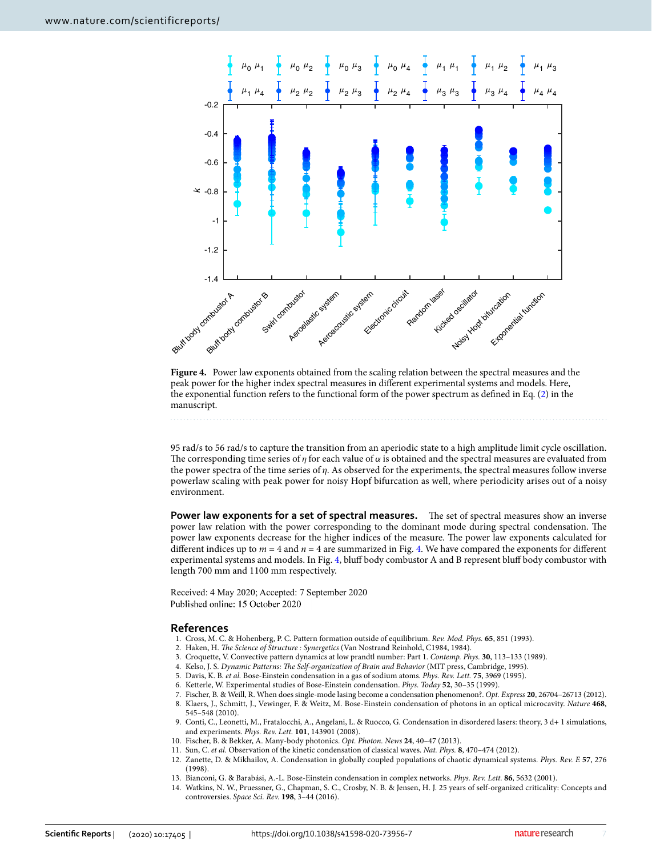

<span id="page-6-12"></span>**Figure 4.** Power law exponents obtained from the scaling relation between the spectral measures and the peak power for the higher index spectral measures in different experimental systems and models. Here, the exponential function refers to the functional form of the power spectrum as defined in Eq. [\(2](#page-3-1)) in the manuscript.

95 rad/s to 56 rad/s to capture the transition from an aperiodic state to a high amplitude limit cycle oscillation. The corresponding time series of  $\eta$  for each value of  $\alpha$  is obtained and the spectral measures are evaluated from the power spectra of the time series of  $\eta$ . As observed for the experiments, the spectral measures follow inverse powerlaw scaling with peak power for noisy Hopf bifurcation as well, where periodicity arises out of a noisy environment.

**Power law exponents for a set of spectral measures.** The set of spectral measures show an inverse power law relation with the power corresponding to the dominant mode during spectral condensation. The power law exponents decrease for the higher indices of the measure. The power law exponents calculated for different indices up to  $m = 4$  $m = 4$  and  $n = 4$  are summarized in Fig. 4. We have compared the exponents for different experimental systems and models. In Fig. [4](#page-6-12), bluff body combustor A and B represent bluff body combustor with length 700 mm and 1100 mm respectively.

Received: 4 May 2020; Accepted: 7 September 2020 Published online: 15 October 2020

#### **References**

- <span id="page-6-0"></span>1. Cross, M. C. & Hohenberg, P. C. Pattern formation outside of equilibrium. Rev. Mod. Phys. **65**, 851 (1993).
- <span id="page-6-1"></span>2. Haken, H. The Science of Structure : Synergetics (Van Nostrand Reinhold, C1984, 1984).
- <span id="page-6-2"></span>3. Croquette, V. Convective pattern dynamics at low prandtl number: Part 1. Contemp. Phys. **30**, 113–133 (1989).
- <span id="page-6-3"></span>4. Kelso, J. S. Dynamic Patterns: The Self-organization of Brain and Behavior (MIT press, Cambridge, 1995).
- <span id="page-6-4"></span>5. Davis, K. B. et al. Bose-Einstein condensation in a gas of sodium atoms. Phys. Rev. Lett. **75**, 3969 (1995).
- <span id="page-6-5"></span>6. Ketterle, W. Experimental studies of Bose-Einstein condensation. Phys. Today **52**, 30–35 (1999).
- <span id="page-6-6"></span> 7. Fischer, B. & Weill, R. When does single-mode lasing become a condensation phenomenon?. Opt. Express **20**, 26704–26713 (2012). 8. Klaers, J., Schmitt, J., Vewinger, F. & Weitz, M. Bose-Einstein condensation of photons in an optical microcavity. Nature **468**,
- 545–548 (2010).
- 9. Conti, C., Leonetti, M., Fratalocchi, A., Angelani, L. & Ruocco, G. Condensation in disordered lasers: theory, 3 d+ 1 simulations, and experiments. Phys. Rev. Lett. **101**, 143901 (2008).
- <span id="page-6-7"></span>10. Fischer, B. & Bekker, A. Many-body photonics. Opt. Photon. News **24**, 40–47 (2013).
- <span id="page-6-8"></span>11. Sun, C. et al. Observation of the kinetic condensation of classical waves. Nat. Phys. **8**, 470–474 (2012).
- <span id="page-6-9"></span> 12. Zanette, D. & Mikhailov, A. Condensation in globally coupled populations of chaotic dynamical systems. Phys. Rev. E **57**, 276 (1998).
- <span id="page-6-10"></span>13. Bianconi, G. & Barabási, A.-L. Bose-Einstein condensation in complex networks. Phys. Rev. Lett. **86**, 5632 (2001).
- <span id="page-6-11"></span> 14. Watkins, N. W., Pruessner, G., Chapman, S. C., Crosby, N. B. & Jensen, H. J. 25 years of self-organized criticality: Concepts and controversies. Space Sci. Rev. **198**, 3–44 (2016).

7